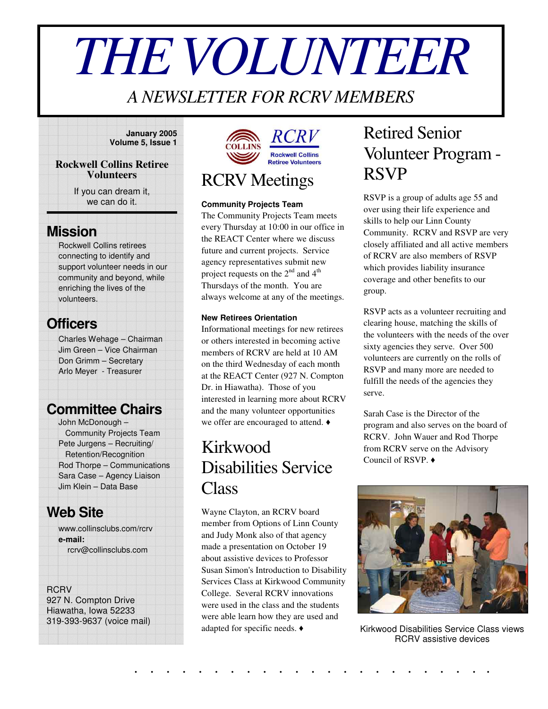# *THEVOLUNTEER*

### *A NEWSLETTER FOR RCRV MEMBERS*

#### **January 2005 Volume 5, Issue 1**

#### **Rockwell Collins Retiree Volunteers**

If you can dream it, we can do it.

### **Mission**

Rockwell Collins retirees connecting to identify and support volunteer needs in our community and beyond, while enriching the lives of the volunteers.

### **Officers**

Charles Wehage – Chairman Jim Green – Vice Chairman Don Grimm – Secretary Arlo Meyer - Treasurer

### **Committee Chairs**

John McDonough – Community Projects Team Pete Jurgens – Recruiting/ Retention/Recognition Rod Thorpe – Communications Sara Case – Agency Liaison Jim Klein – Data Base

### **Web Site**

www.collinsclubs.com/rcrv **e-mail:** rcrv@collinsclubs.com

#### **RCRV**

927 N. Compton Drive Hiawatha, Iowa 52233 319-393-9637 (voice mail)



### RCRV Meetings

#### **Community Projects Team**

The Community Projects Team meets every Thursday at 10:00 in our office in the REACT Center where we discuss future and current projects. Service agency representatives submit new project requests on the  $2^{nd}$  and  $4^{th}$ Thursdays of the month. You are always welcome at any of the meetings.

#### **New Retirees Orientation**

Informational meetings for new retirees or others interested in becoming active members of RCRV are held at 10 AM on the third Wednesday of each month at the REACT Center (927 N. Compton Dr. in Hiawatha). Those of you interested in learning more about RCRV and the many volunteer opportunities we offer are encouraged to attend.  $\blacklozenge$ 

### Kirkwood Disabilities Service Class

Wayne Clayton, an RCRV board member from Options of Linn County and Judy Monk also of that agency made a presentation on October 19 about assistive devices to Professor Susan Simon's Introduction to Disability Services Class at Kirkwood Community College. Several RCRV innovations were used in the class and the students were able learn how they are used and adapted for specific needs.

. . . . . . . . . . . . . . . . . . . . . . .

### Retired Senior Volunteer Program - RSVP

RSVP is a group of adults age 55 and over using their life experience and skills to help our Linn County Community. RCRV and RSVP are very closely affiliated and all active members of RCRV are also members of RSVP which provides liability insurance coverage and other benefits to our group.

RSVP acts as a volunteer recruiting and clearing house, matching the skills of the volunteers with the needs of the over sixty agencies they serve. Over 500 volunteers are currently on the rolls of RSVP and many more are needed to fulfill the needs of the agencies they serve.

Sarah Case is the Director of the program and also serves on the board of RCRV. John Wauer and Rod Thorpe from RCRV serve on the Advisory Council of RSVP.



Kirkwood Disabilities Service Class views RCRV assistive devices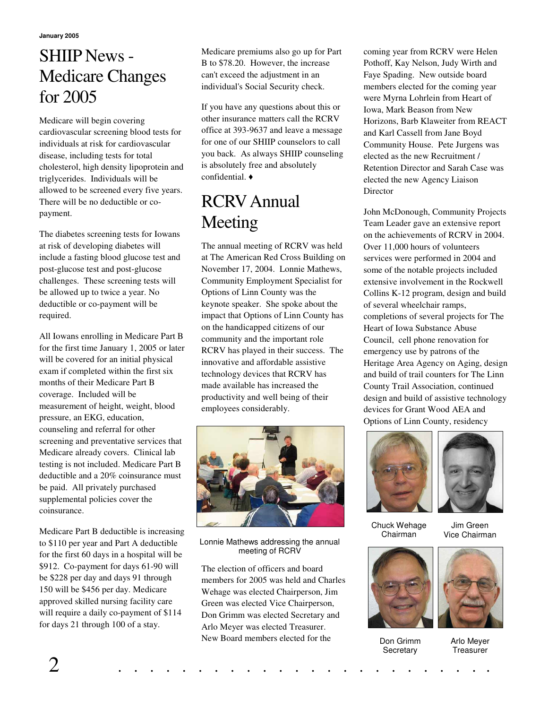**January 2005**

### SHIIP News - Medicare Changes for 2005

Medicare will begin covering cardiovascular screening blood tests for individuals at risk for cardiovascular disease, including tests for total cholesterol, high density lipoprotein and triglycerides. Individuals will be allowed to be screened every five years. There will be no deductible or copayment.

The diabetes screening tests for Iowans at risk of developing diabetes will include a fasting blood glucose test and post-glucose test and post-glucose challenges. These screening tests will be allowed up to twice a year. No deductible or co-payment will be required.

All Iowans enrolling in Medicare Part B for the first time January 1, 2005 or later will be covered for an initial physical exam if completed within the first six months of their Medicare Part B coverage. Included will be measurement of height, weight, blood pressure, an EKG, education, counseling and referral for other screening and preventative services that Medicare already covers. Clinical lab testing is not included. Medicare Part B deductible and a 20% coinsurance must be paid. All privately purchased supplemental policies cover the coinsurance.

Medicare Part B deductible is increasing to \$110 per year and Part A deductible for the first 60 days in a hospital will be \$912. Co-payment for days 61-90 will be \$228 per day and days 91 through 150 will be \$456 per day. Medicare approved skilled nursing facility care will require a daily co-payment of \$114 for days 21 through 100 of a stay.

Medicare premiums also go up for Part B to \$78.20. However, the increase can't exceed the adjustment in an individual's Social Security check.

If you have any questions about this or other insurance matters call the RCRV office at 393-9637 and leave a message for one of our SHIIP counselors to call you back. As always SHIIP counseling is absolutely free and absolutely confidential.

# RCRVAnnual Meeting

The annual meeting of RCRV was held at The American Red Cross Building on November 17, 2004. Lonnie Mathews, Community Employment Specialist for Options of Linn County was the keynote speaker. She spoke about the impact that Options of Linn County has on the handicapped citizens of our community and the important role RCRV has played in their success. The innovative and affordable assistive technology devices that RCRV has made available has increased the productivity and well being of their employees considerably.



Lonnie Mathews addressing the annual meeting of RCRV

The election of officers and board members for 2005 was held and Charles Wehage was elected Chairperson, Jim Green was elected Vice Chairperson, Don Grimm was elected Secretary and Arlo Meyer was elected Treasurer. New Board members elected for the

coming year from RCRV were Helen Pothoff, Kay Nelson, Judy Wirth and Faye Spading. New outside board members elected for the coming year were Myrna Lohrlein from Heart of Iowa, Mark Beason from New Horizons, Barb Klaweiter from REACT and Karl Cassell from Jane Boyd Community House. Pete Jurgens was elected as the new Recruitment / Retention Director and Sarah Case was elected the new Agency Liaison Director

John McDonough, Community Projects Team Leader gave an extensive report on the achievements of RCRV in 2004. Over 11,000 hours of volunteers services were performed in 2004 and some of the notable projects included extensive involvement in the Rockwell Collins K-12 program, design and build of several wheelchair ramps, completions of several projects for The Heart of Iowa Substance Abuse Council, cell phone renovation for emergency use by patrons of the Heritage Area Agency on Aging, design and build of trail counters for The Linn County Trail Association, continued design and build of assistive technology devices for Grant Wood AEA and Options of Linn County, residency



Chuck Wehage Chairman

Jim Green Vice Chairman



Don Grimm **Secretary** 



Arlo Meyer **Treasurer**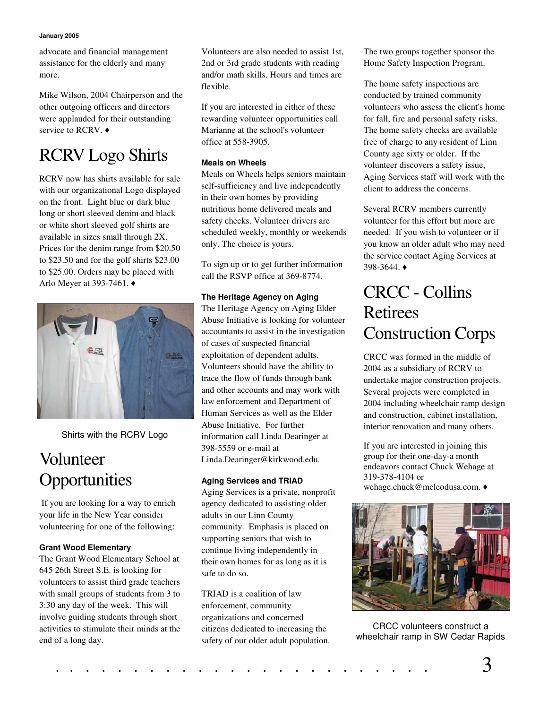#### **January 2005**

advocate and financial management assistance for the elderly and many more.

Mike Wilson, 2004 Chairperson and the other outgoing officers and directors were applauded for their outstanding service to RCRV.  $\triangleleft$ 

# RCRV Logo Shirts

RCRV now has shirts available for sale with our organizational Logo displayed on the front. Light blue or dark blue long or short sleeved denim and black or white short sleeved golf shirts are available in sizes small through 2X. Prices for the denim range from \$20.50 to \$23.50 and for the golf shirts \$23.00 to \$25.00. Orders may be placed with Arlo Meyer at 393-7461.



Shirts with the RCRV Logo

## Volunteer **Opportunities**

If you are looking for a way to enrich your life in the New Year consider volunteering for one of the following:

#### **Grant Wood Elementary**

The Grant Wood Elementary School at 645 26th Street S.E. is looking for volunteers to assist third grade teachers with small groups of students from 3 to 3:30 any day of the week. This will involve guiding students through short activities to stimulate their minds at the end of a long day.

Volunteers are also needed to assist 1st, 2nd or 3rd grade students with reading and/or math skills. Hours and times are flexible.

If you are interested in either of these rewarding volunteer opportunities call Marianne at the school's volunteer office at 558-3905.

#### **Meals on Wheels**

Meals on Wheels helps seniors maintain self-sufficiency and live independently in their own homes by providing nutritious home delivered meals and safety checks. Volunteer drivers are scheduled weekly, monthly or weekends only. The choice is yours.

To sign up or to get further information call the RSVP office at 369-8774.

#### **The Heritage Agency on Aging**

The Heritage Agency on Aging Elder Abuse Initiative is looking for volunteer accountants to assist in the investigation of cases of suspected financial exploitation of dependent adults. Volunteers should have the ability to trace the flow of funds through bank and other accounts and may work with law enforcement and Department of Human Services as well as the Elder Abuse Initiative. For further information call Linda Dearinger at 398-5559 or e-mail at Linda.Dearinger@kirkwood.edu.

#### **Aging Services and TRIAD**

Aging Services is a private, nonprofit agency dedicated to assisting older adults in our Linn County community. Emphasis is placed on supporting seniors that wish to continue living independently in their own homes for as long as it is safe to do so.

TRIAD is a coalition of law enforcement, community organizations and concerned citizens dedicated to increasing the safety of our older adult population. The two groups together sponsor the Home Safety Inspection Program.

The home safety inspections are conducted by trained community volunteers who assess the client's home for fall, fire and personal safety risks. The home safety checks are available free of charge to any resident of Linn County age sixty or older. If the volunteer discovers a safety issue, Aging Services staff will work with the client to address the concerns.

Several RCRV members currently volunteer for this effort but more are needed. If you wish to volunteer or if you know an older adult who may need the service contact Aging Services at 398-3644.

### CRCC - Collins Retirees Construction Corps

CRCC was formed in the middle of 2004 as a subsidiary of RCRV to undertake major construction projects. Several projects were completed in 2004 including wheelchair ramp design and construction, cabinet installation, interior renovation and many others.

If you are interested in joining this group for their one-day-a month endeavors contact Chuck Wehage at 319-378-4104 or wehage.chuck@mcleodusa.com.



CRCC volunteers construct a wheelchair ramp in SW Cedar Rapids